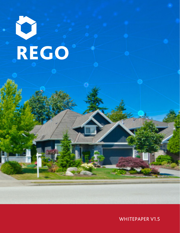# REGO

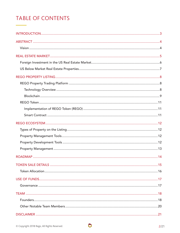# **TABLE OF CONTENTS**

 $\bullet$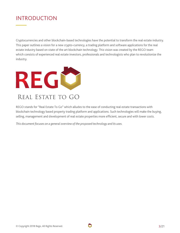# INTRODUCTION

Cryptocurrencies and other blockchain-based technologies have the potential to transform the real estate industry. This paper outlines a vision for a new crypto-currency, a trading platform and software applications for the real estate industry based on state of the art blockchain technology. This vision was created by the REGO team which consists of experienced real estate investors, professionals and technologists who plan to revolutionize the industry.



REGO stands for "Real Estate To Go" which alludes to the ease of conducting real estate transactions with blockchain technology based property trading platform and applications. Such technologies will make the buying, selling, management and development of real estate properties more efficient, secure and with lower costs.

*This document focuses on a general overview of the proposed technology and its uses.*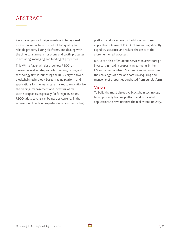# ABSTRACT

Key challenges for foreign investors in today's real estate market include the lack of top quality and reliable property listing platforms, and dealing with the time consuming, error prone and costly processes in acquiring, managing and funding of properties.

This White Paper will describe how REGO, an innovative real estate property sourcing, listing and technology firm is launching the REGO crypto token, blockchain technology-based trading platform and applications for the real estate market to revolutionize the trading, management and investing of real estate properties, especially for foreign investors. REGO utility tokens can be used as currency in the acquisition of certain properties listed on the trading

platform and for access to the blockchain based applications. Usage of REGO tokens will significantly expedite, securitize and reduce the costs of the aforementioned processes.

REGO can also offer unique services to assist foreign investors in making property investments in the US and other countries. Such services will minimize the challenges of time and costs in acquiring and managing of properties purchased from our platform.

## **Vision**

To build the most disruptive blockchain technologybased property trading platform and associated applications to revolutionize the real estate industry.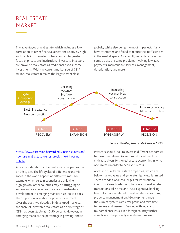# REAL ESTATE MARKET

The advantages of real estate, which includes a low correlation to other financial assets and relatively high and stable income returns, have come into greater focus by private and institutional investors. Investors are drawn to real estate as traditional fixed-income investments. With the current market size of \$217 trillion, real estate remains the largest asset class

globally while also being the most imperfect. Many have attempted and failed to reduce the inefficiencies in the market space. As a result, real estate investors come across the same problems involving law, tax, payments, maintenance services, management, deterioration, and more.



## https://www.extension.harvard.edu/inside-extension/ how-use-real-estate-trends-predict-next-housingbubble

A key consideration is that real estate properties run on life cycles. The life cycles of different economic zones in the world happen at different times. For example, when certain countries are enjoying high growth, other countries may be struggling to survive and vice versa. As the scale of real-estate development in emerging markets rises, so too does the proportion available for private investment. Over the past two decades, in developed markets, the share of investable real estate as a percentage of GDP has been stable at 40-50 percent. However, in emerging markets, the percentage is growing, and so

investors should look to invest in different economies

*Source: Mueller, Real Estate Finance, 1995.*

to maximize return. As with most investments, it is critical to diversify the real estate economies in which one invests in order to achieve success.

Access to quality real estate properties, which are below market value and generate high yield is limited. There are additional challenges for international investors. Cross border fund transfers for real estate transactions take time and incur expensive banking fees. Information related to real estate transactions, property management and development under the current systems are error prone and take time to process and research. Dealing with legal and tax compliance issues in a foreign country further complicates the property investment process.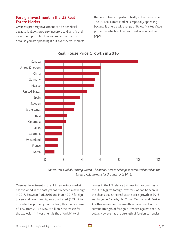## **Foreign Investment in the US Real Estate Market**

Overseas property investment can be beneficial because it allows property investors to diversify their investment portfolio. This will minimize the risk because you are spreading it out over several markets that are unlikely to perform badly at the same time. The US Real Estate Market is especially appealing because it offers a wide range of Below Market Value properties which will be discussed later on in this paper.



# **Real House Price Growth in 2016**

*Source: IMF Global Housing Watch. The annual Percent change is computed based on the latest available data for the quarter in 2016.*

Overseas investment in the U.S. real estate market has exploded in the past year as it reached a new high in 2017. Between April 2016 and March 2017 foreign buyers and recent immigrants purchased \$153 billion in residential property. For context, this is an increase of 49% from 2016's \$102.6 billion. One reason for the explosion in investment is the affordability of

homes in the US relative to those in the countries of the US's biggest foreign investors. As can be seen In the chart above, the real estate price growth in 2016 was larger in Canada, UK, China, German and Mexico. Another reason for the growth in investment is the current strength of foreign currencies against the U.S. dollar. However, as the strength of foreign currencies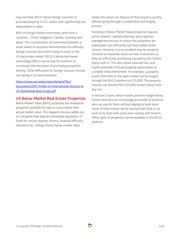may not hold, REGO allows foreign investors to purchase property in U.S. dollars with significantly less depreciation in value.

80% of foreign market investment came from 5 countries - China, Singapore, Canada, Germany and Japan. This concentration of investment between a small subset of countries demonstrates the difficulty foreign investors face when trying to invest in the US real estate market. REGO's blockchain based technology offers a secure way for investors to circumvent the intricacies of purchasing properties directly. Other difficulties for foreign investors include not having a US based presence.

## https://www.nar.realtor/sites/default/files/ documents/2017-Profile-of-International-Activity-in-US-Residential-Real-Estate.pdf

## **US Below Market Real Estate Properties**

Below Market Value (BMV) properties are residential properties available for sale at a price below their actual market value. This happens because sellers are in a situation that requires immediate liquidation of funds for various reasons; divorce, financial difficulty, relocation etc. Selling a home below market value

means the owner can dispose of their property quickly, without going through a complicated and lengthy process.

Investing in Below Market Value properties requires active research, careful screening, and a rigorous management process to ensure the properties are maintained cost efficiently and have stable rental income. However, it is an excellent way for property investors to maximize return on their investment as they are effectively purchasing a property with Instant Equity built in. This also means reduced risks, and higher potential of future property appreciation at a smaller initial investment. For example, a property worth \$100,000 on the open market can be bought through the REGO platform at \$75,000. The property investor can benefit from \$25,000 instant equity from day one.

In the last 5 years, below market prices for single family homes have become increasingly accessible to investors who can pay for them without relying on bank loans. Some of these homes can be sourced with little or no work to be done with some even coming with tenants. These types of properties can be available in the REGO platform.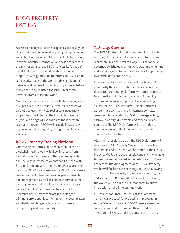# REGO PROPERTY LISTING

Access to quality real estate properties, especially for those that have below market pricing or replacement value, has traditionally not been available to offshore investors because information on these properties is usually not transparent. REGO reflects its founders' belief that investors should be able to source properties with good value to returns. REGO is set up to take advantage of the well-established founder's network and process for sourcing properties at below market prices to be listed for serious real estate investors from around the world.

Our team of real estate experts who have many years of experience in the property investment sector will carefully screen high yield real estate investment properties to be listed on the REGO platform for buyers. With ongoing expansion of the real estate team and network, REGO will provide investors with a growing number of quality listings from all over the globally.

## **REGO Property Trading Platform**

Our trading platform supported by state of the art blockchain technology, will allow investors from around the world to execute the purchase quickly and securely. Purchase payments can be made with Bitcoin, Ethereum, and other major cryptocurrencies including REGO tokens seamlessly. REGO tokens were created for facilitating overseas property transactions and management as well as eliminate cumbersome banking process and high fees involved with these transactions. REGO tokens will be executed with Ethereum based smart contract technology to eliminate errors and documented on the decentralized and distributed ledger of blockchain to assure transparency and immutability.

#### *Technology Overview*

The REGO Platform includes both mobile and webbased applications built for purposes of transacting real estate in a decentralized way. This network is governed by Ethereum smart contracts, implementing and enforcing rules for entities to interact in property ownership or records history.

Ethereum platform with its virtual machine (EVM) is currently the most established blockchain-based distributed computing platform with smart contract functionality and is industry standard for issuing custom digital assets. It powers the contracting aspects of the REGO Platform. The platform will utilize smart contracts and implement complex issuance rules executed by EVM to manage voting, escrow, property agreements and other auxiliary contracts. The REGO platform will be a bridge to communicate with the Ethereum-based smart contract infrastructure.

Also, each user signed up on the REGO platform will be given a REGO Property Wallet. The transaction documents and title deed will be stored in the REGO Property Wallet and the user will conveniently be able to view the respective ledger records of each of their properties. The development of the REGO Property Wallet will facilitate the exchange of REGO, allowing users to receive, deposit, and transfer in an easy, fast and secure way. Because REGO is an ERC-20 token, the wallet will be built to ERC standards to allow interaction on the Ethereum network.

ERC stands for Ethereum Request for Comments - an official protocol for proposing improvements to the Ethereum network. ERC-20 assets share the same receiving address as an Ethereum address. Therefore, all ERC-20 tokens transact on the same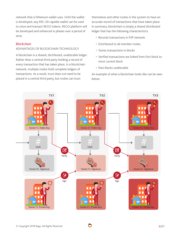network that a Ethereum wallet uses. Until the wallet is developed, any ERC-20 capable wallet can be used to store and transact REGO tokens. REGO platform will be developed and enhanced in phases over a period of time.

## *Blockchain*

## ADVANTAGES OF BLOCKCHAIN TECHNOLOGY

A blockchain is a shared, distributed, unalterable ledger. Rather than a central third party holding a record of every transaction that has taken place, in a blockchain network, multiple nodes hold complete ledgers of transactions. As a result, trust does not need to be placed in a central third party, but nodes can trust

themselves and other nodes in the system to have an accurate record of transactions that have taken place. In summary, blockchain is simply a shared distributed ledger that has the following characteristics:

- Records transactions in P2P network
- Distributed to all member nodes
- Stores transactions in blocks
- Verified transactions are linked from first block to most current block
- Past blocks unalterable

An example of what a blockchain looks like can be seen below:

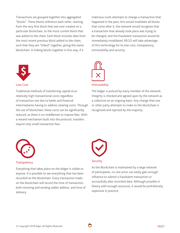Transactions are grouped together into aggregated "blocks". These blocks reference each other, starting from the very first block that was ever created on a particular blockchain, to the most current block that was added to the chain. Each block includes data from the most recent previous block added to the chain, such that they are "linked" together, giving the name blockchain. In linking blocks together in this way, if a



#### Low-Cost

Traditional methods of transferring capital incur relatively high transactional costs regardless of transaction size due to banks and financial intermediaries having to address clearing costs. Through the use of blockchain, these costs can be significantly reduced, as there is no middleman to impose fees. With a reward mechanism built into the protocol, transfers require only small transaction fees.

malicious node attempts to change a transaction that happened in the past, this would invalidate all blocks that come after it, the network would recognize that a transaction that already took place was trying to be changed, and the fraudulent transaction would be immediately invalidated. REGO will take advantage of this technology for its low-cost, transparency, immutability and security.



#### Immutability

The ledger is policed by every member of the network. Integrity is checked and agreed upon by the network as a collective on an ongoing basis. Any change that one or other party attempts to make to the blockchain is recognized and rejected by the majority.



#### **Transparency**

Everything that takes place on the ledger is visible to anyone. It is possible to see everything that has been recorded on the blockchain. Every transaction made on the blockchain will record the time of transaction, both receiving and sending wallet address, and time of delivery.



#### **Security**

As the Blockchain is maintained by a large network of participants, no one actor can easily gain enough influence to submit a fraudulent transaction or successfully alter recorded data. Although possible in theory with enough resources, it would be prohibitively expensive in practice.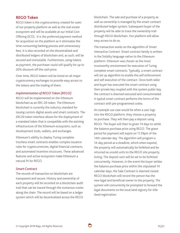## **REGO Token**

REGO token is the cryptocurrency created for users of our property platform as well as the real estate ecosystem and will be available at our Initial Coin Offering (ICO). It is the preferred payment method for acquisition on the platform as it eliminates the time-consuming banking process and unnecessary fees. It is also recorded on the decentralized and distributed ledgers of blockchain and, as such, will be secured and immutable. Furthermore, using tokens as payment, the purchaser could will qualify for up to 20% discount off the cash price.

Over time, REGO tokens will be listed on all major cryptocurrency exchanges to provide easy access to the tokens and the trading of them.

#### *Implementation of REGO Token (REGO)*

REGO will be implemented on the Ethereum blockchain as an ERC-20 token. The Ethereum blockchain is currently the industry standard for issuing custom digital assets and smart contracts. The ERC20 token interface allows for the deployment of a standard token that is compatible with the existing infrastructure of the Ethereum ecosystem, such as development tools, wallets, and exchanges.

Ethereum's ability to deploy Turing complete trustless smart contracts enables complex issuance rules for cryptocurrencies, digital financial contracts, and automated incentive structures. These advanced features and active ecosystem make Ethereum a natural fit for REGO.

## *Smart Contract*

The records of transaction on blockchain are transparent and secure. History and ownership of each property will be recorded on a blockchain audit trail that can be traced through the numerous nodes along the chain. The record will be based on a ledger system which will be decentralized across the REGO

blockchain. The sale and purchase of a property as well as ownership is managed by the smart contract distributed ledger system. Subsequent buyer of the property will be able to trace the ownership trail through REGO blockchain. Our platform will allow easy access to do so.

The transaction works on the algorithm of Smart Interactive Contract. Smart contract family is written in the Solidity language native to the Ethereum platform. Ethereum was chosen as the most trustworthy environment for execution of Turing complete smart contracts. Typically, a smart contract will set up algorithm to enable the self enforcement and self execution of the contract. Once both seller and buyer has executed the smart contract using their private key coupled with the system public key, the contract is deemed executed and consummated. A typical smart contract performs the terms of the contract with pre-programmed codes.

An example use case would be when a user logs into the REGO platform, they choose a property to purchase. They will then pay a deposit using REGO. The buyer will then to given 14 days to settle the balance purchase price using REGO. The grace period for payment will expire on 11.59pm of the 14th calendar day. The algorithm will program a 14-day period as a deadline, which when expired, the property will automatically be forfeited and be returned as unsold units to the REGO site property listing. The deposit sum will be set to be forfeited concurrently. However, in the event the buyer settles the balance purchase price within the stipulated 14 calendar days, the Sale Contract is deemed closed. REGO blockchain will record the person has the new legal and beneficial owner to the property. The system will concurrently be prompted to forward the legal documents to the local land registry for title deed registration.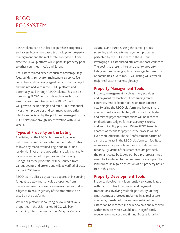# REGO ECOSYSTEM

REGO tokens can be utilized to purchase properties and access blockchain based technology for property management and the real estate eco-system. Over time the REGO platform will expand its property pool to other countries in Asia and Europe.

Real estate related expenses such as brokerage, legal fees, builders, renovator, maintenance, service fee, consulting and managing agent can also be managed and maintained within the REGO platform and potentially paid through REGO tokens. This can be done using ERC20 compatible mobile wallets for easy transactions. Overtime, the REGO platform will grow to include single and multi-unit residential investment properties and commercial properties which can be listed by the public and managed on the REGO platform through incentivization with REGO tokens.

## **Types of Property on the Listing**

The listing on the REGO platform will begin with below market rental properties in the United States, followed by market valued single and multi-unit residential investment properties and will eventually include commercial properties and third-party listings. All these properties will be sourced from various agents and brokers and will be verified directly by the REGO team.

REGO team utilizes a systematic approach in sourcing for quality below market value properties from owners and agents as well as engages a series of due diligence to ensure genuity of the properties to be listed on the platform.

While the platform is sourcing below market value properties in the U.S. market, REGO will begin expanding into other markets in Malaysia, Canada, Australia and Europe, using the same rigorous screening and property management processes perfected by the REGO team in the U.S. and leveraging our established affiliates in those countries. The goal is to present the same quality property listing with more geographical coverage to maximize opportunities. Over time, REGO listing will cover all major real estate markets globally.

## **Property Management Tools**

Property management involves many activities and payment transactions, from signing rental contracts, rent collection to repair, maintenance, etc. By using the REGO platform and having smart contract protocol implanted, all contracts, activities and related payment transactions will be recorded on distributed ledgers for transparency, security and immutability purposes. When REGO token is adapted as means for payment the process will be even more efficient. The self-enforcement nature of a smart contract in the REGO platform can facilitate repossession of property in the case of default in tenancy. By virtue of the smart contract protocol, the tenant could be locked out by a pre-programmed smart lock installed to the premises for example. The landlord could regain possession of his property hassle free in this case.

## **Property Development Tools**

Property development is currently very complicated with many contracts, activities and payment transactions involving multiple parties. By utilizing smart contract protocol implanted in all real estate contracts, transfer of title and ownership of real estate can be recorded in the blockchain and retrieved within minutes which would in turn significantly reduce recording cost and timing. To take it further,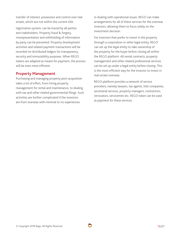transfer of interest, possession and control over real estate, which are not within the current title

registration system, can be traced by all parties and stakeholders. Property fraud & forgery, misrepresentation and withholding of information by party can be prevented. Property development activities and related payment transactions will be recorded on distributed ledgers for transparency, security and immutability purposes. When REGO tokens are adapted as means for payment, the process will be even more efficient.

## **Property Management**

Purchasing and managing property post-acquisition takes a lot of effort, from hiring property management for rental and maintenance, to dealing with tax and other related governmental filings. Such activities are further complicated if the investors are from overseas with minimal to no experiences

in dealing with operational issues. REGO can make arrangements for all of these services for the overseas investors, allowing them to focus solely on the investment decision.

For investors that prefer to invest in the property through a corporation or other legal entity, REGO can set up the legal entity to take ownership of the property for the buyer before closing all within the REGO platform. All rental contracts, property management and other related professional services can be set up under a legal entity before closing. This is the most efficient way for the investor to invest in real estate overseas.

REGO platform provides a network of service providers, namely lawyers, tax agents, title companies, secretarial services, property managers, contractors, renovators, servicemen etc. REGO token can be used as payment for these services.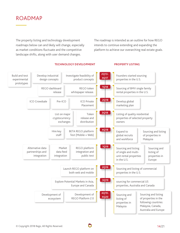# ROADMAP

The property listing and technology development roadmaps below can and likely will change, especially as market conditions fluctuate and the competitive landscape shifts, along with user demand changes.

The roadmap is intended as an outline for how REGO intends to continue extending and expanding the platform to achieve our overarching real estate goals.



#### **TECHNOLOGY DEVELOPMENT PROPERTY LISTING**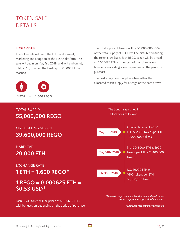# TOKEN SALE DETAILS

#### Presale Details

The token sale will fund the full development, marketing and adoption of the REGO platform. The sale will begin on May 1st, 2018, and will end on July 31st, 2018, or when the hard cap of 20,000 ETH is reached.



# TOTAL SUPPLY **55,000,000 REGO**

CIRCULATING SUPPLY **39,600,000 REGO** 

HARD CAP

# **20,000 ETH**

## EXCHANGE RATE

**1 ETH = 1,600 REGO\*** 

# **1 REGO = 0.000625 ETH = \$0.53 USD\***

Each REGO token will be priced at 0.000625 ETH, with bonuses on depending on the period of purchase. The total supply of tokens will be 55,000,000. 72% of the total supply of REGO will be distributed during the token crowdsale. Each REGO token will be priced at 0.000625 ETH at the start of the token sale with bonuses on a sliding scale depending on the period of purchase.

The next stage bonus applies when either the allocated token supply for a stage or the date arrives.

The bonus is specified in



*\*The next stage bonus applies when either the allocated token supply for a stage or the date arrives.*

*\*Exchange rate at time of publishing*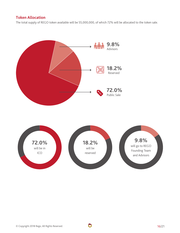# **Token Allocation**

The total supply of REGO token available will be 55,000,000, of which 72% will be allocated to the token sale.



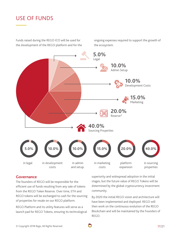# USE OF FUNDS

Funds raised during the REGO ICO will be used for the development of the REGO platform and for the ongoing expenses required to support the growth of the ecosystem.



## **Governance**

The founders of REGO will be responsible for the efficient use of funds resulting from any sale of tokens from the REGO Token Reserve. Over time, ETH and REGO tokens will be exchanged to cash for the sourcing of properties for resale on our REGO platform.

REGO Platform and its utility features will serve as a launch pad for REGO Tokens, ensuring its technological superiority and widespread adoption in the initial stages, but the future value of REGO Tokens will be determined by the global cryptocurrency investment community.

By 2020 the initial REGO vision and architecture will have been implemented and deployed. REGO will then work on the continuous evolution of the REGO Blockchain and will be maintained by the Founders of REGO.

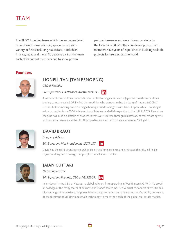# TEAM

The REGO founding team, which has an unparalleled ratio of world class advisors, specialize in a wide variety of fields including real estate, blockchain, finance, legal, and more. To become part of the team, each of its current members had to show proven

past performance and were chosen carefully by the founder of REGO. The core development team members have years of experience in building scalable projects for users across the world.

## **Founders**



# **LIONELL TAN (TAN PENG ENG)**

*CEO & Founder*

*2012-present CEO Natnaes Investments LLC.*



A successful commodities trader who started his trading career with a Japanese based commodities trading company called ORIENTAL Commodities who went on to head a team of traders in OCBC Futures before moving on to running a boutique fund trading FX with GAIN Capital while investing in value properties from 2004 in Malaysia and later expanded his expertise to the USA in 2013. Ever since then, he has build a portfolio of properties that were sourced through his network of real estate agents and property managers in the US. All properties sourced had to have a minimum 15% yield.



# **DAVID BRAUT**

*Company Advisor*

#### *2012-present: Vice President at VELTRUST.* lin

David has the spirit of entrepreneurship. He strives for excellence and embraces the risks in life. He enjoys working and learning from people from all sources of life.



# **JAIAN CUTTARI**

*Marketing Advisor*

## *2012-present: Founder, CEO at VELTRUST.*



Jaian Cuttari is the CEO of Veltrust, a global advisory firm operating in Washington DC. With his broad knowledge of the many facets of business and market forces, he uses Veltrust to connect clients from a diverse range of industries to opportunities in the government and private sectors. Currently, Veltrust is at the forefront of utilizing blockchain technology to meet the needs of the global real estate market.

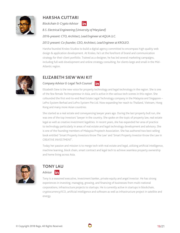

# **HARSHA CUTTARI**

*Blockchain & Crypto Advisor*



*B.S. Electrical Engineering (University of Maryland)*

*2016-present: CTO, Architect, Lead Engineer at AQUA LLC.*

## *2012-present: Co-founder, CEO, Architect, Lead Engineer at KROLEO.*

Harsha founded Kroleo Studios to build a digital agency committed to encompass high quality web design & application development. At Kroleo, he's at the forefront of brand and communication strategy for their client portfolio. Trained as a designer, he has led several marketing campaigns, including full web development and online strategy consulting, for clients large and small in the Mid-Atlantic region.



## **ELIZABETH SIEW WAI KIT**

*Company Advisor & Legal Tech Counsel* lin

Elizabeth Siew is the new voice for property technology and legal technology in the region. She is one of the few female Technopreneur in Asia, and is active in the various tech scenes in this region. She cofounded the first end-to-end Real Estate Legal Technology company in the Malaysia and Singapore – LePro System Berhad and LePro System Pte Ltd. Now expanding her reach to Thailand, Vietnam, Hong Kong and many more Asian countries.

She started as a real estate and conveyancing lawyer years ago. During the last property bull run, she was one of the top investors' lawyer in the country. She spoke on the topic of property law, real estate legal as well as creative investment legalities. In recent years, she has expanded her area of practice to technology particularly in areas of real estate and legal technology development and advisory. She is one of the founding members of Malaysia Proptech Association. She has authored two best selling book entitled 'Smart Property Investors Know The Law' and 'Smart Property Investor Know the Law in CREATIVE INVESTMENT'.

Today her passion and mission is to merge tech with real estate and legal, utilizing artificial intelligence, machine learning, block chain, smart contract and legal tech to achieve seamless property ownership and home living across Asia.



# **TONY LAU**  *Advisor*

Tony is a seasoned executive, investment banker, private equity and angel investor. He has strong experiences in investing, managing, growing, and financing of businesses from multi-national corporations, infrastructure projects to startups. He is currently active in startups in blockchain, cryptocurrency/ICO, artificial intelligence and software as well as infrastructure project in satellite and energy.

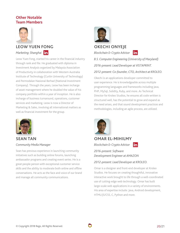# **Other Notable Team Members**



# **LEOW YUEN FONG**  *Marketing: Shanghai*

Leow Yuen Fong, started his career in the financial industry through rank and file. He graduated with diploma in Investment Analysis organized by Malaysia Association of Productivity in collaboration with Western Australia Institute of Technology (Curtin University of Technology) and Permodalan Nasional Berhad (National Investment Company). Through the years, Leow has been incharge of asset management where he doubled the value of his company portfolio within a year of inception. He is also incharge of business turnaround, operations, customer services and marketing. Leow is now a Director of Marketing & Sales, involving all international matters as well as financial investment for the group.



# **SEAN TAN**  *Community Media Manager*

Sean has previous experience in launching community initiatives such as building online forums, launching ambassador programs and creating event series. He is a great people person with exceptional customer service skills and the ability to moderate both online and offline conversations. He acts as the face and voice of our brand and manage all community communications.



## **OKECHI ONYEJE**

*Blockchain & Crypto Advisor*



*B.S. Computer Engineering (University of Maryland) 2016-present: Lead Developer at VISTAPRINT.*

## *2012-present: Co-founder, CTO, Architect at KROLEO.*

Okechi is an applications developer committed to user experience. He is knowledgeable across multiple programming languages and frameworks including Java, PHP, MySql, Solidity, Ruby, and more. As Technical Director for Kroleo Studios, he ensures all code written is structured well, has the potential to grow and expand as the need arises, and that sound development practices and methodologies, including an agile process, are utilized.



**OMAR EL-MIHILMY** lin.

*Blockchain & Crypto Advisor*

*2016-present: Software Development Engineer at AMAZON*

*2012-present: Lead Developer at KROLEO.*

Omar is a designer and front-end developer at Kroleo Studios. He focuses on creating thoughtful, innovative interactive work brought to life through a well-coordinated use of cutting-edge web technology. Omar has built large-scale web applications in a variety of environments. His area of expertise include: Java, Android development, HTML/JS/CSS, C, Python and more.